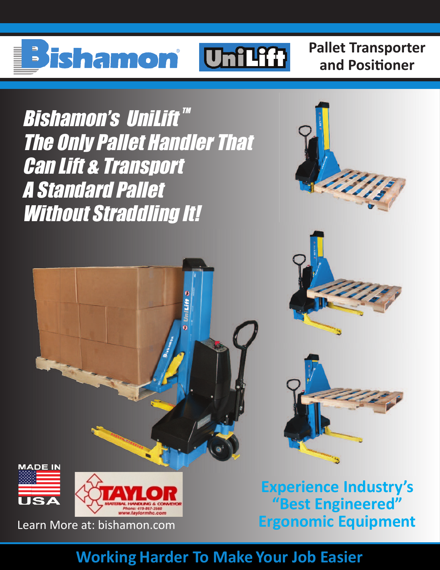# ishamon **Unilli**

**Pallet Transporter and Positioner**

Bishamon's UniLift™ The Only Pallet Handler That Can Lift & Transport A Standard Pallet Without Straddling It!





**Experience Industry's "Best Engineered"** Learn More at: bishamon.com **Ergonomic Equipment**

## **Working Harder To Make Your Job Easier**